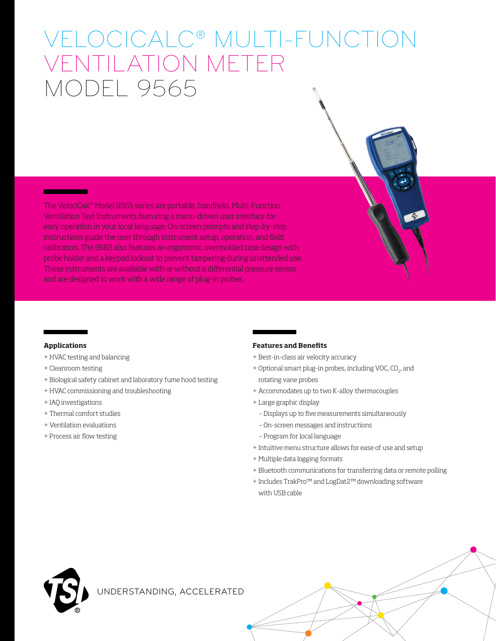# VELOCICALC® MULTI-FUNCTION VENTILATION METER MODEL 9565

The VelociCalc® Model 9565 series are portable, handheld, Multi-Function Ventilation Test Instruments featuring a menu-driven user interface for easy operation in your local language. On-screen prompts and step-by-step instructions guide the user through instrument setup, operation, and field calibration. The 9565 also features an ergonomic, overmolded case design with probe holder and a keypad lockout to prevent tampering during unattended use. These instruments are available with or without a differential pressure sensor and are designed to work with a wide range of plug-in probes.

### **Applications**

- + HVAC testing and balancing
- + Cleanroom testing
- + Biological safety cabinet and laboratory fume hood testing
- + HVAC commissioning and troubleshooting
- + IAQ investigations
- + Thermal comfort studies
- + Ventilation evaluations
- + Process air flow testing

### **Features and Benefits**

- + Best-in-class air velocity accuracy
- + Optional smart plug-in probes, including VOC, CO<sub>2</sub>, and rotating vane probes
- + Accommodates up to two K-alloy thermocouples
- + Large graphic display
	- Displays up to five measurements simultaneously
	- On-screen messages and instructions
	- Program for local language
- + Intuitive menu structure allows for ease of use and setup
- + Multiple data logging formats
- + Bluetooth communications for transferring data or remote polling
- + Includes TrakPro™ and LogDat2™ downloading software with USB cable



UNDERSTANDING, ACCELERATED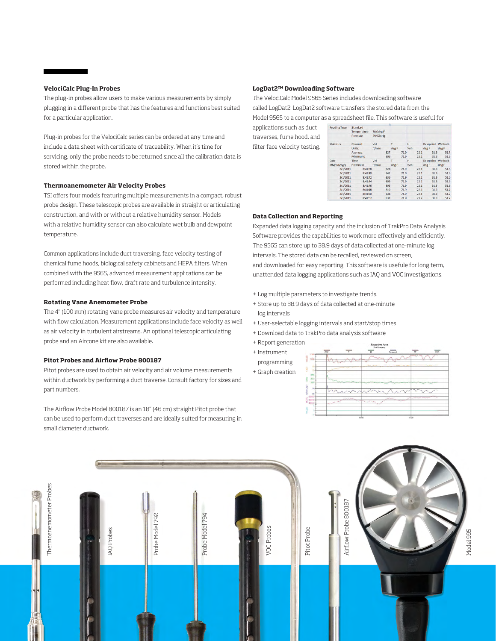### **VelociCalc Plug-In Probes**

The plug-in probes allow users to make various measurements by simply plugging in a different probe that has the features and functions best suited for a particular application.

Plug-in probes for the VelociCalc series can be ordered at any time and include a data sheet with certificate of traceability. When it's time for servicing, only the probe needs to be returned since all the calibration data is stored within the probe.

### **Thermoanemometer Air Velocity Probes**

TSI offers four models featuring multiple measurements in a compact, robust probe design. These telescopic probes are available in straight or articulating construction, and with or without a relative humidity sensor. Models with a relative humidity sensor can also calculate wet bulb and dewpoint temperature.

Common applications include duct traversing, face velocity testing of chemical fume hoods, biological safety cabinets and HEPA filters. When combined with the 9565, advanced measurement applications can be performed including heat flow, draft rate and turbulence intensity.

### **Rotating Vane Anemometer Probe**

The 4" (100 mm) rotating vane probe measures air velocity and temperature with flow calculation. Measurement applications include face velocity as well as air velocity in turbulent airstreams. An optional telescopic articulating probe and an Aircone kit are also available.

### **Pitot Probes and Airflow Probe 800187**

Pitot probes are used to obtain air velocity and air volume measurements within ductwork by performing a duct traverse. Consult factory for sizes and part numbers.

The Airflow Probe Model 800187 is an 18" (46 cm) straight Pitot probe that can be used to perform duct traverses and are ideally suited for measuring in small diameter ductwork.

### **LogDat2™ Downloading Software**

The VelociCalc Model 9565 Series includes downloading software called LogDat2. LogDat2 software transfers the stored data from the Model 9565 to a computer as a spreadsheet file. This software is useful for

applications such as duct traverses, fume hood, and filter face velocity testing.

| <b>Reading Type</b> | Standard    |           |       |      |              |      |                  |       |
|---------------------|-------------|-----------|-------|------|--------------|------|------------------|-------|
|                     | Temperature | 70.0deg F |       |      |              |      |                  |       |
|                     | Pressure    | 29.92inHg |       |      |              |      |                  |       |
| <b>Statistics</b>   | Channel:    | Vel       | т     |      | н            |      | Dewpoint Wetbulb |       |
|                     | Units:      | ft/min    | degF  |      | %rh          |      | $deg F$ $deg F$  |       |
|                     | Average:    |           | 827   | 71.9 |              | 22.1 | 31.3             | 51.7  |
|                     | Minimum:    |           | 806   | 71.9 |              | 22.1 | 31.3             | 51.6  |
| Date                | Time        | Vel       | T     |      | $\mathbf{H}$ |      | Dewpoint Wetbulb |       |
| MM/dd/yyyy          | hh:mm:ss    | ft/min    | deg F |      | $%$ rh       |      | degF             | deg F |
| 3/1/2011            | 8:41:38     |           | 828   | 71.9 |              | 22.1 | 31.3             | 51.6  |
| 3/1/2011            | 8:41:40     |           | 842   | 71.9 |              | 22.1 | 31.3             | 51.6  |
| 3/1/2011            | 8:41:42     |           | 836   | 71.9 |              | 22.1 | 31.3             | 51.6  |
| 3/1/2011            | 8:41:44     |           | 809   | 71.9 |              | 22.1 | 31.3             | 51.6  |
| 3/1/2011            | 8:41:46     |           | 806   | 71.9 |              | 22.1 | 31.3             | 51.6  |
| 3/1/2011            | 8:41:48     |           | 819   | 71.9 |              | 22.1 | 31.3             | 51.7  |
| 3/1/2011            | 8:41:50     |           | 838   | 71.9 |              | 22.1 | 31.3             | 51.7  |
| 3/1/2011            | 8:41:52     |           | 837   | 71.9 |              | 22.2 | 31.3             | 51.7  |

### **Data Collection and Reporting**

Expanded data logging capacity and the inclusion of TrakPro Data Analysis Software provides the capabilities to work more effectively and efficiently. The 9565 can store up to 38.9 days of data collected at one-minute log intervals. The stored data can be recalled, reviewed on screen, and downloaded for easy reporting. This software is usefule for long term, unattended data logging applications such as IAQ and VOC investigations.

- + Log multiple parameters to investigate trends.
- + Store up to 38.9 days of data collected at one-minute log intervals
- + User-selectable logging intervals and start/stop times
- + Download data to TrakPro data analysis software
- + Report generation
- + Instrument
- programming + Graph creation



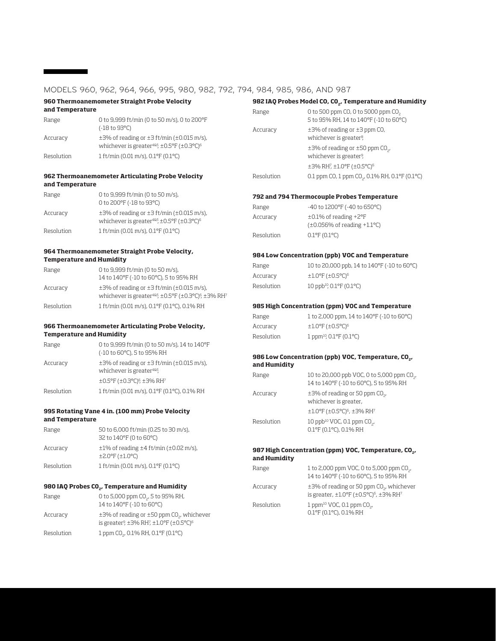### MODELS 960, 962, 964, 966, 995, 980, 982, 792, 794, 984, 985, 986, AND 987

### **960 Thermoanemometer Straight Probe Velocity**

| and Temperature |                                                                                                                                            |
|-----------------|--------------------------------------------------------------------------------------------------------------------------------------------|
| Range           | 0 to 9,999 ft/min (0 to 50 m/s), 0 to 200°F<br>$(-18 \text{ to } 93^{\circ}\text{C})$                                                      |
| Accuracy        | $\pm$ 3% of reading or $\pm$ 3 ft/min ( $\pm$ 0.015 m/s),<br>whichever is greater <sup>485</sup> , $\pm$ 0.5°F ( $\pm$ 0.3°C) <sup>6</sup> |
| Resolution      | $1$ ft/min (0.01 m/s), 0.1°F (0.1°C)                                                                                                       |

### **962 Thermoanemometer Articulating Probe Velocity and Temperature**

| Range      | 0 to 9,999 ft/min (0 to 50 m/s),<br>0 to 200°F (-18 to 93°C)                                                                        |
|------------|-------------------------------------------------------------------------------------------------------------------------------------|
| Accuracy   | $\pm$ 3% of reading or $\pm$ 3 ft/min ( $\pm$ 0.015 m/s),<br>whichever is greater <sup>4&amp;5</sup> , ±0.5°F (±0.3°C) <sup>6</sup> |
| Resolution | 1 ft/min (0.01 m/s), 0.1°F (0.1°C)                                                                                                  |

### **964 Thermoanemometer Straight Probe Velocity, Temperature and Humidity**

| Range      | 0 to 9,999 ft/min (0 to 50 m/s),                                                                                                                      |
|------------|-------------------------------------------------------------------------------------------------------------------------------------------------------|
|            | 14 to 140°F (-10 to 60°C), 5 to 95% RH                                                                                                                |
| Accuracy   | $\pm$ 3% of reading or $\pm$ 3 ft/min ( $\pm$ 0.015 m/s),<br>whichever is greater <sup>485</sup> , ±0.5°F (±0.3°C) <sup>6</sup> , ±3% RH <sup>7</sup> |
| Resolution | 1 ft/min (0.01 m/s), 0.1°F (0.1°C), 0.1% RH                                                                                                           |

### **966 Thermoanemometer Articulating Probe Velocity, Temperature and Humidity**

| Range      | 0 to 9,999 ft/min (0 to 50 m/s), 14 to 140°F                                                     |
|------------|--------------------------------------------------------------------------------------------------|
|            | (-10 to 60°C), 5 to 95% RH                                                                       |
| Accuracy   | $\pm$ 3% of reading or $\pm$ 3 ft/min ( $\pm$ 0.015 m/s),<br>whichever is greater <sup>485</sup> |
|            | ±0.5°F (±0.3°C) <sup>6</sup> , ±3% RH <sup>7</sup>                                               |
| Resolution | 1 ft/min (0.01 m/s), 0.1°F (0.1°C), 0.1% RH                                                      |

### **995 Rotating Vane 4 in. (100 mm) Probe Velocity and Temperature**

| Range      | 50 to 6,000 ft/min (0.25 to 30 m/s),                                                     |
|------------|------------------------------------------------------------------------------------------|
|            | 32 to 140°F (0 to 60°C)                                                                  |
| Accuracy   | $\pm 1\%$ of reading $\pm 4$ ft/min ( $\pm 0.02$ m/s),<br>$±2.0^{\circ}F(±1.0^{\circ}C)$ |
| Resolution | 1 ft/min (0.01 m/s), 0.1°F (0.1°C)                                                       |

### **980 IAQ Probes C02, Temperature and Humidity**

| Range      | 0 to 5,000 ppm CO <sub>2</sub> , 5 to 95% RH,<br>14 to 140°F (-10 to 60°C)                                                            |
|------------|---------------------------------------------------------------------------------------------------------------------------------------|
| Accuracy   | $\pm$ 3% of reading or $\pm$ 50 ppm CO., whichever<br>is greater <sup>9</sup> , $\pm$ 3% RH7, $\pm$ 1.0°F ( $\pm$ 0.5°C) <sup>6</sup> |
| Resolution | 1 ppm CO <sub>2</sub> , 0.1% RH, 0.1°F (0.1°C)                                                                                        |

### 982 IAQ Probes Model CO, CO<sub>2</sub>, Temperature and Humidity Range 0 to 500 ppm CO, 0 to 5000 ppm CO<sub>2</sub> 5 to 95% RH, 14 to 140°F (-10 to 60°C) Accuracy  $\pm 3\%$  of reading or  $\pm 3$  ppm CO, whichever is greater<sup>8</sup>,  $\pm$ 3% of reading or  $\pm$ 50 ppm CO<sub>2</sub>, whichever is greater<sup>9</sup>, ±3% RH7 , ±1.0°F (±0.5°C)6 Resolution 0.1 ppm CO, 1 ppm CO<sub>2</sub>, 0.1% RH, 0.1°F (0.1°C) **792 and 794 Thermocouple Probes Temperature** Range -40 to 1200°F (-40 to 650°C) Accuracy ±0.1% of reading +2°F (±0.056% of reading +1.1°C) Resolution 0.1°F (0.1°C) **984 Low Concentration (ppb) VOC and Temperature** Range 10 to 20,000 ppb, 14 to 140°F (-10 to 60°C) Accuracy  $\pm 1.0^{\circ}$ F ( $\pm 0.5^{\circ}$ C)<sup>6</sup> Resolution  $10$  ppb<sup>10</sup>,  $0.1$ °F ( $0.1$ °C) **985 High Concentration (ppm) VOC and Temperature** Range 1 to 2,000 ppm, 14 to 140°F (-10 to 60°C) Accuracy  $\pm 1.0^{\circ}$ F ( $\pm 0.5^{\circ}$ C)<sup>6</sup> Resolution 1 ppm<sup>10</sup>, 0.1°F (0.1°C) 986 Low Concentration (ppb) VOC, Temperature, CO<sub>2</sub>, **and Humidity** Range 10 to 20,000 ppb VOC, 0 to 5,000 ppm CO<sub>2</sub>, 14 to 140°F (-10 to 60°C), 5 to 95% RH Accuracy  $\pm$ 3% of reading or 50 ppm CO<sub>2</sub> whichever is greater,  $\pm 1.0$ °F ( $\pm 0.5$ °C)<sup>6</sup>,  $\pm 3\%$  RH<sup>7</sup>

### **987 High Concentration (ppm) VOC, Temperature, CO<sub>2</sub>, and Humidity**

0.1°F (0.1°C), 0.1% RH

Resolution  $10$  ppb<sup>10</sup> VOC, 0.1 ppm  $CO_{\gamma}$ ,

| Range      | 1 to 2,000 ppm VOC, 0 to 5,000 ppm CO <sub>2</sub> ,<br>14 to 140°F (-10 to 60°C), 5 to 95% RH                                                               |
|------------|--------------------------------------------------------------------------------------------------------------------------------------------------------------|
| Accuracy   | $\pm$ 3% of reading or 50 ppm CO <sub>2</sub> , whichever<br>is greater, $\pm 1.0^{\circ}$ F ( $\pm 0.5^{\circ}$ C) <sup>6</sup> , $\pm 3\%$ RH <sup>7</sup> |
| Resolution | 1 ppm <sup>10</sup> VOC, 0.1 ppm $CO_{2}$ ,<br>0.1°F (0.1°C), 0.1% RH                                                                                        |